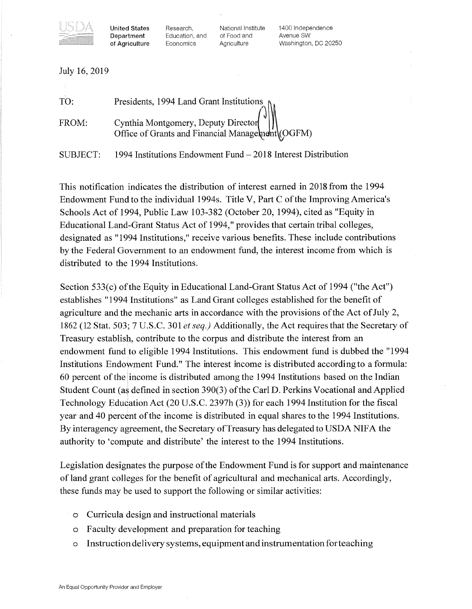

**Department** Education, and of Food and<br> **of Agriculture** Economics Agriculture

United States Research, Mational Institute 1400 Independence<br>
Department Education, and of Food and Avenue SW Washington, DC 20250

| July 16, 2019 |                                                                                         |
|---------------|-----------------------------------------------------------------------------------------|
| TO:           | Presidents, 1994 Land Grant Institutions                                                |
| FROM:         | Cynthia Montgomery, Deputy Director<br>Office of Grants and Financial Management (OGFM) |

SUBJECT: 1994 Institutions Endowment Fund - 2018 Interest Distribution

This notification indicates the distribution of interest earned in 2018 from the 1994 Endowment Fund to the individual 1994s. Title V, Part C ofthe Improving America's Schools Act of 1994, Public Law 103-382 (October 20, 1994), cited as "Equity in Educational Land-Grant Status Act of 1994," provides that certain tribal colleges, designated as "1994 Institutions," receive various benefits. These include contributions by the Federal Government to an endowment fund, the interest income from which is distributed to the 1994 Institutions.

Section 533(c) of the Equity in Educational Land-Grant Status Act of 1994 ("the Act") establishes "1994 Institutions" as Land Grant colleges established for the benefit of agriculture and the mechanic arts in accordance with the provisions of the Act of July 2, 1862 (12 Stat. 503; 7 U.S.C. 301 *et seq.)* Additionally, the Act requires that the Secretary of Treasury establish, contribute to the corpus and distribute the interest from an endowment fund to eligible 1994 Institutions. This endowment fund is dubbed the "1994 Institutions Endowment Fund." The interest income is distributed according to a formula: 60 percent ofthe income is distributed among the 1994 Institutions based on the Indian Student Count (as defined in section 390(3) ofthe Carl D. Perkins Vocational and Applied Technology Education Act (20 U.S.C. 2397h (3)) for each 1994 Institution for the fiscal year and 40 percent of the income is distributed in equal shares to the 1994 Institutions. By interagency agreement, the Secretary of Treasury has delegated to USDA NIFA the authority to 'compute and distribute' the interest to the 1994 Institutions.

Legislation designates the purpose of the Endowment Fund is for support and maintenance of land grant colleges for the benefit of agricultural and mechanical arts. Accordingly, these funds may be used to support the following or similar activities:

- o Curricula design and instructional materials
- o Faculty development and preparation for teaching
- o Instruction delivery systems, equipment and instrumentation for teaching